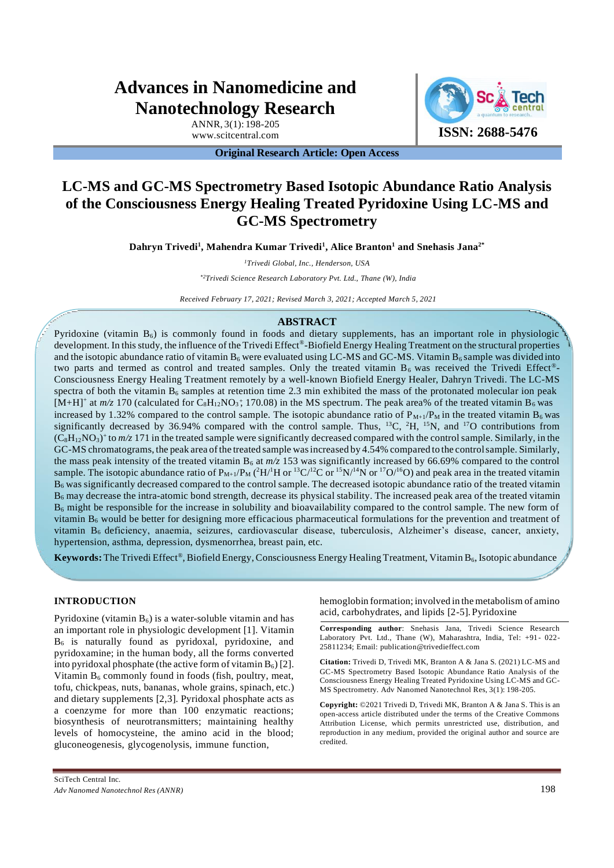# **Advances in Nanomedicine and Nanotechnology Research**

ANNR, 3(1): 198-205

WWW.scitcentral.com **ISSN: 2688-5476** 

**Original Research Article: Open Access**

# **LC-MS and GC-MS Spectrometry Based Isotopic Abundance Ratio Analysis of the Consciousness Energy Healing Treated Pyridoxine Using LC-MS and GC-MS Spectrometry**

**Dahryn Trivedi<sup>1</sup> , Mahendra Kumar Trivedi<sup>1</sup> , Alice Branton<sup>1</sup> and Snehasis Jana2\***

*<sup>1</sup>Trivedi Global, Inc., Henderson, USA*

*\*2Trivedi Science Research Laboratory Pvt. Ltd., Thane (W), India* 

*Received February 17, 2021; Revised March 3, 2021; Accepted March 5, 2021*

#### **ABSTRACT**

Pyridoxine (vitamin  $B_6$ ) is commonly found in foods and dietary supplements, has an important role in physiologic development. In this study, the influence of the Trivedi Effect®-Biofield Energy Healing Treatment on the structural properties and the isotopic abundance ratio of vitamin  $B_6$  were evaluated using LC-MS and GC-MS. Vitamin  $B_6$  sample was divided into two parts and termed as control and treated samples. Only the treated vitamin  $B_6$  was received the Trivedi Effect®-Consciousness Energy Healing Treatment remotely by a well-known Biofield Energy Healer, Dahryn Trivedi. The LC-MS spectra of both the vitamin  $B_6$  samples at retention time 2.3 min exhibited the mass of the protonated molecular ion peak  $[M+H]^+$  at  $m/z$  170 (calculated for  $C_8H_{12}NO_3$ ; 170.08) in the MS spectrum. The peak area% of the treated vitamin B<sub>6</sub> was increased by 1.32% compared to the control sample. The isotopic abundance ratio of  $P_{M+1}/P_M$  in the treated vitamin  $B_6$  was significantly decreased by 36.94% compared with the control sample. Thus, <sup>13</sup>C, <sup>2</sup>H, <sup>15</sup>N, and <sup>17</sup>O contributions from  $(C_8H_{12}NO_3)^+$  to  $m/z$  171 in the treated sample were significantly decreased compared with the control sample. Similarly, in the GC-MS chromatograms, the peak area of the treated sample was increased by 4.54% compared to the control sample. Similarly, the mass peak intensity of the treated vitamin  $B_6$  at  $m/z$  153 was significantly increased by 66.69% compared to the control sample. The isotopic abundance ratio of  $P_{M+1}/P_M$  ( ${}^2H/{}^1H$  or  ${}^{13}C/{}^{12}C$  or  ${}^{15}N/{}^{14}N$  or  ${}^{17}O/{}^{16}O$ ) and peak area in the treated vitamin  $B_6$  was significantly decreased compared to the control sample. The decreased isotopic abundance ratio of the treated vitamin  $B_6$  may decrease the intra-atomic bond strength, decrease its physical stability. The increased peak area of the treated vitamin  $B_6$  might be responsible for the increase in solubility and bioavailability compared to the control sample. The new form of vitamin  $B_6$  would be better for designing more efficacious pharmaceutical formulations for the prevention and treatment of vitamin B6 deficiency, anaemia, seizures, cardiovascular disease, tuberculosis, Alzheimer's disease, cancer, anxiety, hypertension, asthma, depression, dysmenorrhea, breast pain, etc.

Keywords: The Trivedi Effect®, Biofield Energy, Consciousness Energy Healing Treatment, Vitamin B<sub>6</sub>, Isotopic abundance

#### **INTRODUCTION**

Pyridoxine (vitamin  $B_6$ ) is a water-soluble vitamin and has an important role in physiologic development [1]. Vitamin  $B<sub>6</sub>$  is naturally found as pyridoxal, pyridoxine, and pyridoxamine; in the human body, all the forms converted into pyridoxal phosphate (the active form of vitamin  $B_6$ ) [2]. Vitamin  $B_6$  commonly found in foods (fish, poultry, meat, tofu, chickpeas, nuts, bananas, whole grains, spinach, etc.) and dietary supplements [2,3]. Pyridoxal phosphate acts as a coenzyme for more than 100 enzymatic reactions; biosynthesis of neurotransmitters; maintaining healthy levels of homocysteine, the amino acid in the blood; gluconeogenesis, glycogenolysis, immune function,

MS Spectrometry. Adv Nanomed Nanotechnol Res, 3(1): 198-205. **Copyright:** ©2021 Trivedi D, Trivedi MK, Branton A & Jana S. This is an

open-access article distributed under the terms of the Creative Commons Attribution License, which permits unrestricted use, distribution, and reproduction in any medium, provided the original author and source are credited.

hemoglobin formation; involved in the metabolism of amino

**Corresponding author**: Snehasis Jana, Trivedi Science Research Laboratory Pvt. Ltd., Thane (W), Maharashtra, India, Tel: +91- 022-

**Citation:** Trivedi D, Trivedi MK, Branton A & Jana S. (2021) LC-MS and GC-MS Spectrometry Based Isotopic Abundance Ratio Analysis of the Consciousness Energy Healing Treated Pyridoxine Using LC-MS and GC-

acid, carbohydrates, and lipids [2-5]. Pyridoxine

25811234; Email: [publicatio](mailto:publication@trivedieffect.com)[n@trivedieffect.com](mailto:n@trivedieffect.com)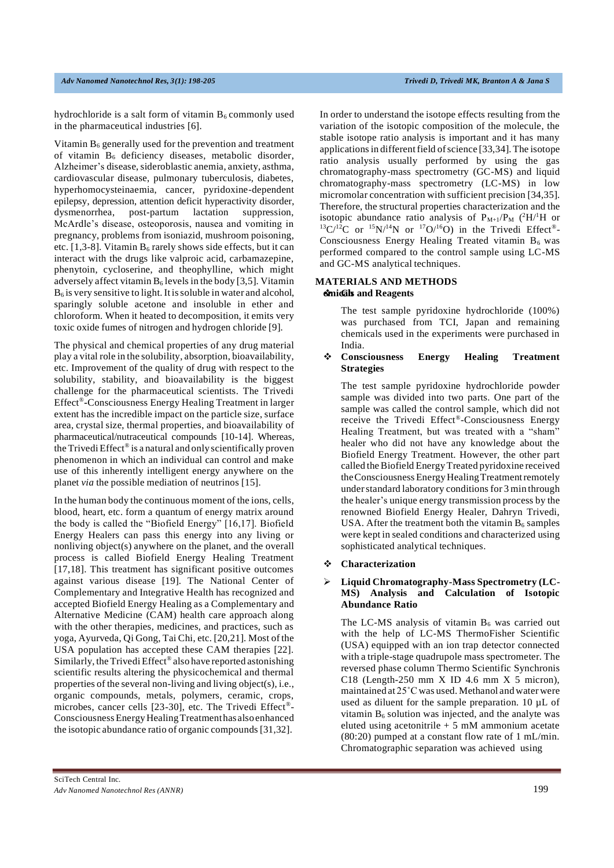hydrochloride is a salt form of vitamin  $B_6$  commonly used in the pharmaceutical industries [6].

Vitamin  $B_6$  generally used for the prevention and treatment of vitamin  $B_6$  deficiency diseases, metabolic disorder, Alzheimer's disease, sideroblastic anemia, anxiety, asthma, cardiovascular disease, pulmonary tuberculosis, diabetes, hyperhomocysteinaemia, cancer, pyridoxine-dependent epilepsy, depression, attention deficit hyperactivity disorder, dysmenorrhea, post-partum lactation suppression, McArdle's disease, osteoporosis, nausea and vomiting in pregnancy, problems from isoniazid, mushroom poisoning, etc. [1,3-8]. Vitamin  $B_6$  rarely shows side effects, but it can interact with the drugs like valproic acid, carbamazepine, phenytoin, cycloserine, and theophylline, which might adversely affect vitamin  $B_6$  levels in the body [3,5]. Vitamin  $B<sub>6</sub>$  is very sensitive to light. It is soluble in water and alcohol, sparingly soluble acetone and insoluble in ether and chloroform. When it heated to decomposition, it emits very toxic oxide fumes of nitrogen and hydrogen chloride [9].

The physical and chemical properties of any drug material play a vital role in the solubility, absorption, bioavailability, etc. Improvement of the quality of drug with respect to the solubility, stability, and bioavailability is the biggest challenge for the pharmaceutical scientists. The Trivedi Effect® **-**Consciousness Energy Healing Treatment in larger extent has the incredible impact on the particle size, surface area, crystal size, thermal properties, and bioavailability of pharmaceutical/nutraceutical compounds [10-14]. Whereas, the Trivedi Effect® is a natural and only scientifically proven phenomenon in which an individual can control and make use of this inherently intelligent energy anywhere on the planet *via* the possible mediation of neutrinos [15].

In the human body the continuous moment of the ions, cells, blood, heart, etc. form a quantum of energy matrix around the body is called the "Biofield Energy" [16,17]. Biofield Energy Healers can pass this energy into any living or nonliving object(s) anywhere on the planet, and the overall process is called Biofield Energy Healing Treatment [17,18]. This treatment has significant positive outcomes against various disease [19]. The National Center of Complementary and Integrative Health has recognized and accepted Biofield Energy Healing as a Complementary and Alternative Medicine (CAM) health care approach along with the other therapies, medicines, and practices, such as yoga, Ayurveda, Qi Gong, Tai Chi, etc. [20,21]. Most of the USA population has accepted these CAM therapies [22]. Similarly, the Trivedi Effect<sup>®</sup> also have reported astonishing scientific results altering the physicochemical and thermal properties of the several non-living and living object(s), i.e., organic compounds, metals, polymers, ceramic, crops, microbes, cancer cells [23-30], etc. The Trivedi Effect® - ConsciousnessEnergyHealingTreatmenthas alsoenhanced the isotopic abundance ratio of organic compounds [31,32].

In order to understand the isotope effects resulting from the variation of the isotopic composition of the molecule, the stable isotope ratio analysis is important and it has many applications in different field of science [33,34]. The isotope ratio analysis usually performed by using the gas chromatography-mass spectrometry (GC-MS) and liquid chromatography-mass spectrometry (LC-MS) in low micromolar concentration with sufficient precision [34,35]. Therefore, the structural properties characterization and the isotopic abundance ratio analysis of  $P_{M+1}/P_M$  (<sup>2</sup>H/<sup>1</sup>H or  $13\text{C}/12\text{C}$  or  $15\text{N}/14\text{N}$  or  $17\text{O}/16\text{O}$ ) in the Trivedi Effect®-Consciousness Energy Healing Treated vitamin  $B_6$  was performed compared to the control sample using LC-MS and GC-MS analytical techniques.

# **MATERIALS AND METHODS** ❖**emicCalhs and Reagents**

The test sample pyridoxine hydrochloride (100%) was purchased from TCI, Japan and remaining chemicals used in the experiments were purchased in India.

## ❖ **Consciousness Energy Healing Treatment Strategies**

The test sample pyridoxine hydrochloride powder sample was divided into two parts. One part of the sample was called the control sample, which did not receive the Trivedi Effect®-Consciousness Energy Healing Treatment, but was treated with a "sham" healer who did not have any knowledge about the Biofield Energy Treatment. However, the other part called theBiofield EnergyTreated pyridoxine received theConsciousnessEnergyHealingTreatmentremotely under standard laboratory conditions for 3 min through the healer's unique energy transmission process by the renowned Biofield Energy Healer, Dahryn Trivedi, USA. After the treatment both the vitamin  $B_6$  samples were kept in sealed conditions and characterized using sophisticated analytical techniques.

#### ❖ **Characterization**

#### ➢ **Liquid Chromatography-Mass Spectrometry (LC-MS) Analysis and Calculation of Isotopic Abundance Ratio**

The LC-MS analysis of vitamin  $B_6$  was carried out with the help of LC-MS ThermoFisher Scientific (USA) equipped with an ion trap detector connected with a triple-stage quadrupole mass spectrometer. The reversed phase column Thermo Scientific Synchronis C18 (Length-250 mm  $X$  ID 4.6 mm  $X$  5 micron), maintained at 25˚C was used. Methanol and water were used as diluent for the sample preparation. 10  $\mu$ L of vitamin  $B_6$  solution was injected, and the analyte was eluted using acetonitrile  $+ 5$  mM ammonium acetate (80:20) pumped at a constant flow rate of 1 mL/min. Chromatographic separation was achieved using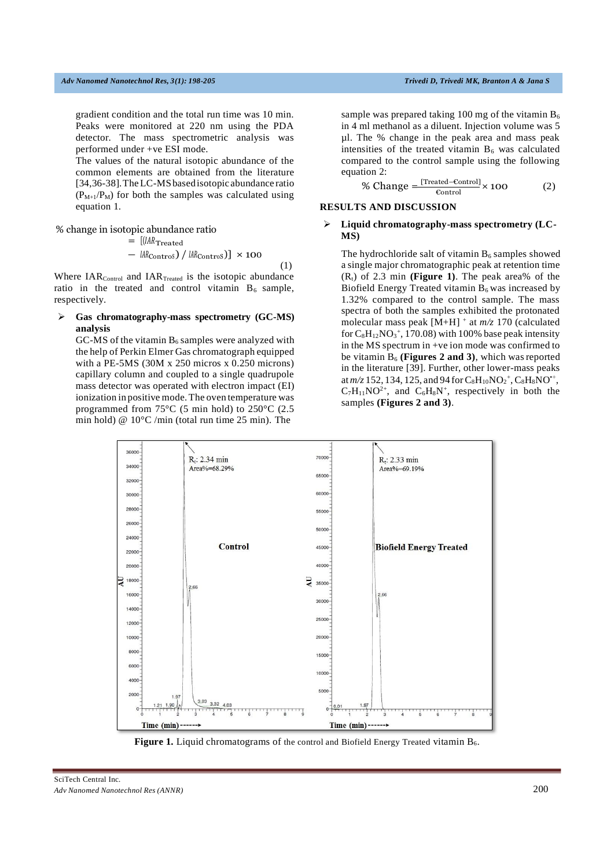gradient condition and the total run time was 10 min. Peaks were monitored at 220 nm using the PDA detector. The mass spectrometric analysis was performed under +ve ESI mode.

The values of the natural isotopic abundance of the common elements are obtained from the literature [34,36-38].TheLC-MSbasedisotopic abundance ratio  $(P_{M+1}/P_M)$  for both the samples was calculated using equation 1.

% change in isotopic abundance ratio

$$
= \left[ (IAR_{\text{Treated}} - IAR_{\text{Contros}}) / IAR_{\text{Contros}} \right] \times 100
$$
\n(1)

Where  $IAR_{Control}$  and  $IAR_{Treated}$  is the isotopic abundance ratio in the treated and control vitamin  $B_6$  sample, respectively.

➢ **Gas chromatography-mass spectrometry (GC-MS) analysis**

GC-MS of the vitamin  $B_6$  samples were analyzed with the help of Perkin Elmer Gas chromatograph equipped with a PE-5MS (30M x 250 micros x 0.250 microns) capillary column and coupled to a single quadrupole mass detector was operated with electron impact (EI) ionization in positive mode. The oven temperature was programmed from 75°C (5 min hold) to 250°C (2.5 min hold) @ 10°C /min (total run time 25 min). The

sample was prepared taking 100 mg of the vitamin  $B_6$ in 4 ml methanol as a diluent. Injection volume was 5 µl. The % change in the peak area and mass peak intensities of the treated vitamin  $B_6$  was calculated compared to the control sample using the following equation 2:

% Change 
$$
=\frac{[Treated-Control]}{\text{Control}} \times 100
$$
 (2)

#### **RESULTS AND DISCUSSION**

#### ➢ **Liquid chromatography-mass spectrometry (LC-MS)**

The hydrochloride salt of vitamin  $B_6$  samples showed a single major chromatographic peak at retention time  $(R_t)$  of 2.3 min **(Figure 1)**. The peak area% of the Biofield Energy Treated vitamin  $B_6$  was increased by 1.32% compared to the control sample. The mass spectra of both the samples exhibited the protonated molecular mass peak [M+H] <sup>+</sup> at *m/z* 170 (calculated for  $C_8H_{12}NO_3^+$ , 170.08) with 100% base peak intensity in the MS spectrum in +ve ion mode was confirmed to be vitamin  $B_6$  (**Figures 2 and 3**), which was reported in the literature [39]. Further, other lower-mass peaks at  $m/z$  152, 134, 125, and 94 for  $C_8H_{10}NO_2^+$ ,  $C_8H_8NO^+$ ,  $C_7H_{11}NO^{2+}$ , and  $C_6H_8N^+$ , respectively in both the samples **(Figures 2 and 3)**.



**Figure 1.** Liquid chromatograms of the control and Biofield Energy Treated vitamin B<sub>6</sub>.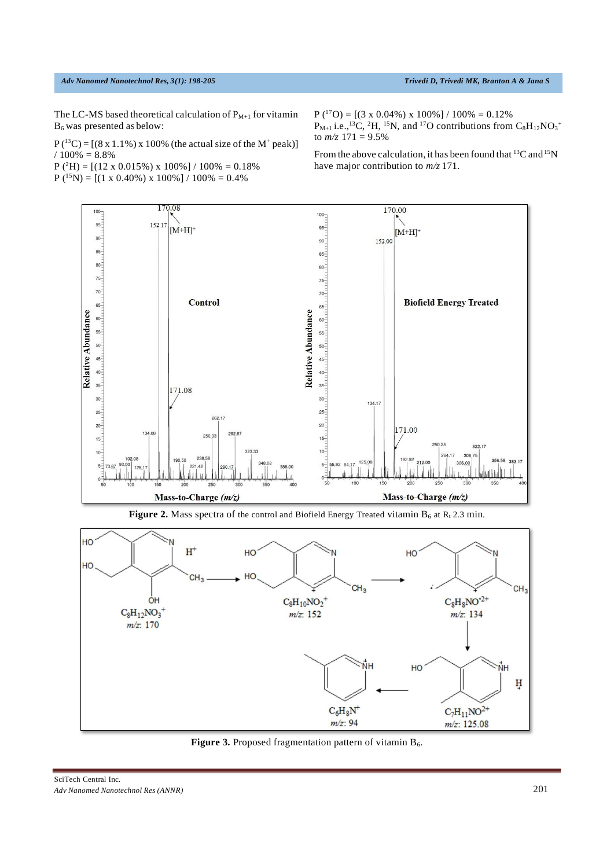#### *Adv Nanomed Nanotechnol Res, 3(1): 198-205 Trivedi D, Trivedi MK, Branton A & Jana S*

The LC-MS based theoretical calculation of  $P_{M+1}$  for vitamin B6 was presented as below:

 $P(^{13}C) = [(8 \times 1.1\%) \times 100\%$  (the actual size of the M<sup>+</sup> peak)]  $/ 100\% = 8.8\%$ 

 $P(^{2}H) = [(12 \times 0.015\%) \times 100\%]/100\% = 0.18\%$ 

 $P({}^{15}N) = [(1 \times 0.40\%) \times 100\%]/100\% = 0.4\%$ 

 $P(^{17}O) = [(3 \times 0.04\%) \times 100\%] / 100\% = 0.12\%$  $P_{M+1}$  i.e.,<sup>13</sup>C, <sup>2</sup>H, <sup>15</sup>N, and <sup>17</sup>O contributions from  $C_8H_{12}NO_3$ <sup>+</sup> to  $m/z$  171 = 9.5%

From the above calculation, it has been found that <sup>13</sup>C and <sup>15</sup>N have major contribution to *m/z* 171.



Figure 2. Mass spectra of the control and Biofield Energy Treated vitamin B<sub>6</sub> at Rt 2.3 min.



Figure 3. Proposed fragmentation pattern of vitamin B<sub>6</sub>.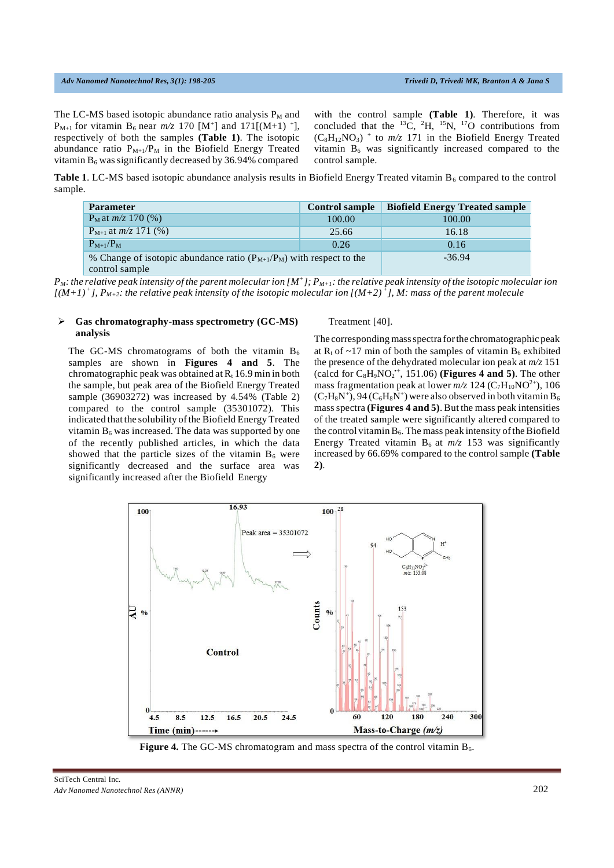#### *Adv Nanomed Nanotechnol Res, 3(1): 198-205 Trivedi D, Trivedi MK, Branton A & Jana S*

The LC-MS based isotopic abundance ratio analysis  $P_M$  and  $P_{M+1}$  for vitamin  $B_6$  near  $m/z$  170 [M<sup>+</sup>] and 171[(M+1)<sup>+</sup>], respectively of both the samples **(Table 1)**. The isotopic abundance ratio  $P_{M+1}/P_M$  in the Biofield Energy Treated vitamin  $B_6$  was significantly decreased by 36.94% compared

with the control sample **(Table 1)**. Therefore, it was concluded that the  ${}^{13}C$ ,  ${}^{2}H$ ,  ${}^{15}N$ ,  ${}^{17}O$  contributions from  $(C_8H_{12}NO_3)$  + to  $m/z$  171 in the Biofield Energy Treated vitamin  $B_6$  was significantly increased compared to the control sample.

**Table 1.** LC-MS based isotopic abundance analysis results in Biofield Energy Treated vitamin  $B_6$  compared to the control sample.

| <b>Parameter</b>                                                                           | <b>Control sample</b> | <b>Biofield Energy Treated sample</b> |  |
|--------------------------------------------------------------------------------------------|-----------------------|---------------------------------------|--|
| $P_M$ at $m/z$ 170 (%)                                                                     | 100.00                | 100.00                                |  |
| $P_{M+1}$ at $m/z$ 171 (%)                                                                 | 25.66                 | 16.18                                 |  |
| $P_{M+1}/P_M$                                                                              | 0.26                  | 0.16                                  |  |
| % Change of isotopic abundance ratio $(P_{M+1}/P_M)$ with respect to the<br>control sample |                       | $-36.94$                              |  |

 $P_M$ : the relative peak intensity of the parent molecular ion [M<sup>+</sup>];  $P_{M+1}$ : the relative peak intensity of the isotopic molecular ion [(M+1)<sup>+</sup>],  $P_{M+2}$ : the relative peak intensity of the isotopic molecular ion [(M+2)<sup>+</sup>], M: mass of the parent molecule

#### ➢ **Gas chromatography-mass spectrometry (GC-MS) analysis**

The GC-MS chromatograms of both the vitamin  $B_6$ samples are shown in **Figures 4 and 5**. The chromatographic peak was obtained at  $R_t$  16.9 min in both the sample, but peak area of the Biofield Energy Treated sample (36903272) was increased by 4.54% (Table 2) compared to the control sample (35301072). This indicated that the solubility of the Biofield Energy Treated vitamin  $B_6$  was increased. The data was supported by one of the recently published articles, in which the data showed that the particle sizes of the vitamin  $B_6$  were significantly decreased and the surface area was significantly increased after the Biofield Energy

#### Treatment [40].

(calcd for  $C_8H_9NO_2^{\star+}$ , 151.06) (**Figures 4 and 5**). The other The corresponding mass spectra for the chromatographic peak at  $R_t$  of ~17 min of both the samples of vitamin  $B_6$  exhibited the presence of the dehydrated molecular ion peak at *m/z* 151 mass fragmentation peak at lower  $m/z$  124 (C<sub>7</sub>H<sub>10</sub>NO<sup>2+</sup>), 106  $(C_7H_8N^+), 94(C_6H_8N^+)$  were also observed in both vitamin  $B_6$ massspectra **(Figures 4 and 5)**. But the mass peak intensities of the treated sample were significantly altered compared to the control vitamin  $B_6$ . The mass peak intensity of the Biofield Energy Treated vitamin  $B_6$  at  $m/z$  153 was significantly increased by 66.69% compared to the control sample **(Table 2)**.



**Figure 4.** The GC-MS chromatogram and mass spectra of the control vitamin B<sub>6</sub>.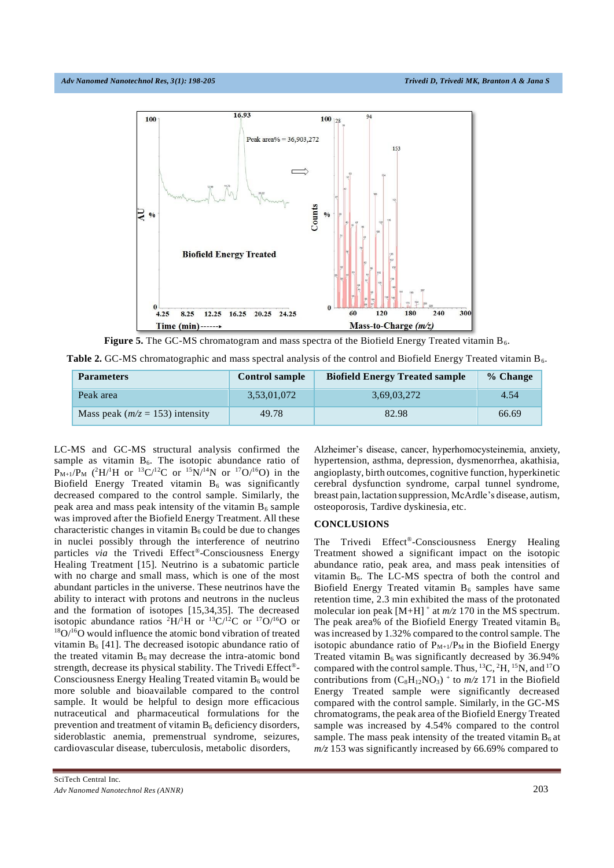

**Figure 5.** The GC-MS chromatogram and mass spectra of the Biofield Energy Treated vitamin  $B_6$ .

**Table 2.** GC-MS chromatographic and mass spectral analysis of the control and Biofield Energy Treated vitamin B<sub>6</sub>.

| <b>Parameters</b>                   | <b>Control sample</b> | <b>Biofield Energy Treated sample</b> | % Change |
|-------------------------------------|-----------------------|---------------------------------------|----------|
| Peak area                           | 3,53,01,072           | 3,69,03,272                           | 4.54     |
| Mass peak ( $m/z = 153$ ) intensity | 49.78                 | 82.98                                 | 66.69    |

LC-MS and GC-MS structural analysis confirmed the sample as vitamin  $B_6$ . The isotopic abundance ratio of  $P_{M+1}/P_M$  (<sup>2</sup>H/<sup>1</sup>H or <sup>13</sup>C/<sup>12</sup>C or <sup>15</sup>N/<sup>14</sup>N or <sup>17</sup>O/<sup>16</sup>O) in the Biofield Energy Treated vitamin  $B_6$  was significantly decreased compared to the control sample. Similarly, the peak area and mass peak intensity of the vitamin  $B_6$  sample was improved after the Biofield Energy Treatment. All these characteristic changes in vitamin  $B_6$  could be due to changes in nuclei possibly through the interference of neutrino particles *via* the Trivedi Effect® -Consciousness Energy Healing Treatment [15]. Neutrino is a subatomic particle with no charge and small mass, which is one of the most abundant particles in the universe. These neutrinos have the ability to interact with protons and neutrons in the nucleus and the formation of isotopes [15,34,35]. The decreased isotopic abundance ratios <sup>2</sup>H/<sup>1</sup>H or <sup>13</sup>C/<sup>12</sup>C or <sup>17</sup>O/<sup>16</sup>O or  $18O/16O$  would influence the atomic bond vibration of treated vitamin  $B_6$  [41]. The decreased isotopic abundance ratio of the treated vitamin  $B_6$  may decrease the intra-atomic bond strength, decrease its physical stability. The Trivedi Effect® - Consciousness Energy Healing Treated vitamin  $B_6$  would be more soluble and bioavailable compared to the control sample. It would be helpful to design more efficacious nutraceutical and pharmaceutical formulations for the prevention and treatment of vitamin  $B_6$  deficiency disorders, sideroblastic anemia, premenstrual syndrome, seizures, cardiovascular disease, tuberculosis, metabolic disorders,

Alzheimer's disease, cancer, hyperhomocysteinemia, anxiety, hypertension, asthma, depression, dysmenorrhea, akathisia, angioplasty, birth outcomes, cognitive function, hyperkinetic cerebral dysfunction syndrome, carpal tunnel syndrome, breast pain, lactation suppression, McArdle's disease, autism, osteoporosis, Tardive dyskinesia, etc.

## **CONCLUSIONS**

The Trivedi Effect® -Consciousness Energy Healing Treatment showed a significant impact on the isotopic abundance ratio, peak area, and mass peak intensities of vitamin  $B_6$ . The LC-MS spectra of both the control and Biofield Energy Treated vitamin  $B_6$  samples have same retention time, 2.3 min exhibited the mass of the protonated molecular ion peak  $[M+H]$ <sup>+</sup> at  $m/z$  170 in the MS spectrum. The peak area% of the Biofield Energy Treated vitamin  $B_6$ was increased by 1.32% compared to the control sample. The isotopic abundance ratio of  $P_{M+1}/P_M$  in the Biofield Energy Treated vitamin  $B_6$  was significantly decreased by 36.94% compared with the control sample. Thus,  ${}^{13}C, {}^{2}H, {}^{15}N,$  and  ${}^{17}O$ contributions from  $(C_8H_{12}NO_3)$ <sup>+</sup> to  $m/z$  171 in the Biofield Energy Treated sample were significantly decreased compared with the control sample. Similarly, in the GC-MS chromatograms, the peak area of the Biofield Energy Treated sample was increased by 4.54% compared to the control sample. The mass peak intensity of the treated vitamin  $B_6$  at *m/z* 153 was significantly increased by 66.69% compared to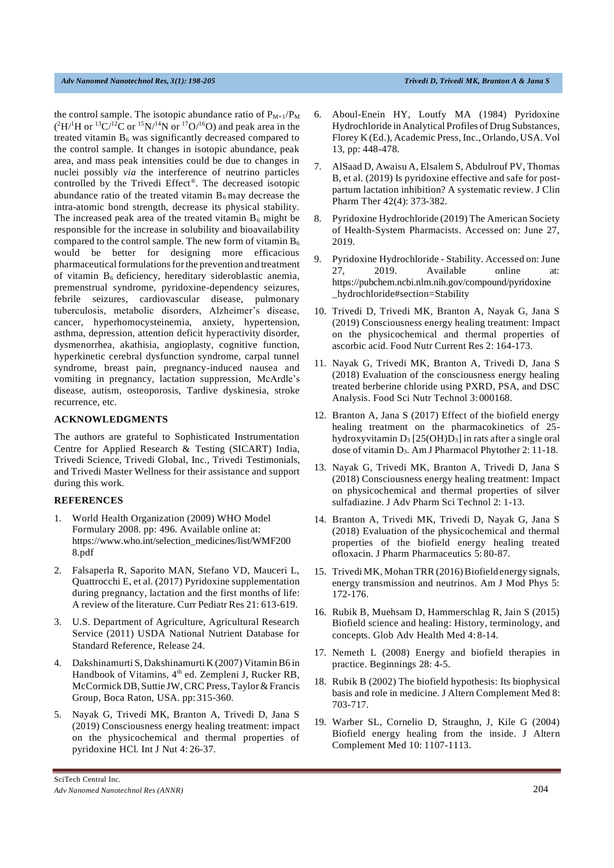the control sample. The isotopic abundance ratio of  $P_{M+1}/P_M$  $(^{2}H/^{1}H$  or  $^{13}C/^{12}C$  or  $^{15}N/^{14}N$  or  $^{17}O/^{16}O$ ) and peak area in the treated vitamin  $B_6$  was significantly decreased compared to the control sample. It changes in isotopic abundance, peak area, and mass peak intensities could be due to changes in nuclei possibly *via* the interference of neutrino particles controlled by the Trivedi Effect® . The decreased isotopic abundance ratio of the treated vitamin  $B_6$  may decrease the intra-atomic bond strength, decrease its physical stability. The increased peak area of the treated vitamin  $B_6$  might be responsible for the increase in solubility and bioavailability compared to the control sample. The new form of vitamin  $B_6$ would be better for designing more efficacious pharmaceutical formulations for the prevention and treatment of vitamin  $B_6$  deficiency, hereditary sideroblastic anemia, premenstrual syndrome, pyridoxine-dependency seizures, febrile seizures, cardiovascular disease, pulmonary tuberculosis, metabolic disorders, Alzheimer's disease, cancer, hyperhomocysteinemia, anxiety, hypertension, asthma, depression, attention deficit hyperactivity disorder, dysmenorrhea, akathisia, angioplasty, cognitive function, hyperkinetic cerebral dysfunction syndrome, carpal tunnel syndrome, breast pain, pregnancy-induced nausea and vomiting in pregnancy, lactation suppression, McArdle's disease, autism, osteoporosis, Tardive dyskinesia, stroke recurrence, etc.

#### **ACKNOWLEDGMENTS**

The authors are grateful to Sophisticated Instrumentation Centre for Applied Research & Testing (SICART) India, Trivedi Science, Trivedi Global, Inc., Trivedi Testimonials, and Trivedi Master Wellness for their assistance and support during this work.

# **REFERENCES**

- 1. World Health Organization (2009) WHO Model Formulary 2008. pp: 496. Available online at: https:[//www.who.int/selection\\_medicines/list/WMF200](http://www.who.int/selection_medicines/list/WMF200) 8.pdf
- 2. Falsaperla R, Saporito MAN, Stefano VD, Mauceri L, Quattrocchi E, et al. (2017) Pyridoxine supplementation during pregnancy, lactation and the first months of life: A review of the literature. Curr Pediatr Res 21: 613-619.
- 3. U.S. Department of Agriculture, Agricultural Research Service (2011) USDA National Nutrient Database for Standard Reference, Release 24.
- 4. Dakshinamurti S, Dakshinamurti K (2007) VitaminB6 in Handbook of Vitamins, 4<sup>th</sup> ed. Zempleni J, Rucker RB, McCormick DB, Suttie JW,CRC Press,Taylor&Francis Group, Boca Raton, USA. pp: 315-360.
- 5. Nayak G, Trivedi MK, Branton A, Trivedi D, Jana S (2019) Consciousness energy healing treatment: impact on the physicochemical and thermal properties of pyridoxine HCl. Int J Nut 4: 26-37.
- 6. Aboul-Enein HY, Loutfy MA (1984) Pyridoxine Hydrochloride in Analytical Profiles of Drug Substances, Florey K (Ed.), Academic Press, Inc., Orlando, USA. Vol 13, pp: 448-478.
- 7. AlSaad D, Awaisu A, Elsalem S, Abdulrouf PV, Thomas B, et al. (2019) Is pyridoxine effective and safe for postpartum lactation inhibition? A systematic review. J Clin Pharm Ther 42(4): 373-382.
- 8. Pyridoxine Hydrochloride (2019) The American Society of Health-System Pharmacists. Accessed on: June 27, 2019.
- 9. Pyridoxine Hydrochloride Stability. Accessed on: June 27, 2019. Available online at: https://pubchem.ncbi.nlm.nih.gov/compound/pyridoxine \_hydrochloride#section=Stability
- 10. Trivedi D, Trivedi MK, Branton A, Nayak G, Jana S (2019) Consciousness energy healing treatment: Impact on the physicochemical and thermal properties of ascorbic acid. Food Nutr Current Res 2: 164-173.
- 11. Nayak G, Trivedi MK, Branton A, Trivedi D, Jana S (2018) Evaluation of the consciousness energy healing treated berberine chloride using PXRD, PSA, and DSC Analysis. Food Sci Nutr Technol 3: 000168.
- 12. Branton A, Jana S (2017) Effect of the biofield energy healing treatment on the pharmacokinetics of 25 hydroxyvitamin  $D_3$  [25(OH) $D_3$ ] in rats after a single oral dose of vitamin D3. Am J Pharmacol Phytother 2: 11-18.
- 13. Nayak G, Trivedi MK, Branton A, Trivedi D, Jana S (2018) Consciousness energy healing treatment: Impact on physicochemical and thermal properties of silver sulfadiazine. J Adv Pharm Sci Technol 2: 1-13.
- 14. Branton A, Trivedi MK, Trivedi D, Nayak G, Jana S (2018) Evaluation of the physicochemical and thermal properties of the biofield energy healing treated ofloxacin. J Pharm Pharmaceutics 5: 80-87.
- 15. Trivedi MK, Mohan TRR (2016) Biofield energy signals, energy transmission and neutrinos. Am J Mod Phys 5: 172-176.
- 16. Rubik B, Muehsam D, Hammerschlag R, Jain S (2015) Biofield science and healing: History, terminology, and concepts. Glob Adv Health Med 4: 8-14.
- 17. Nemeth L (2008) Energy and biofield therapies in practice. Beginnings 28: 4-5.
- 18. Rubik B (2002) The biofield hypothesis: Its biophysical basis and role in medicine. J Altern Complement Med 8: 703-717.
- 19. Warber SL, Cornelio D, Straughn, J, Kile G (2004) Biofield energy healing from the inside. J Altern Complement Med 10: 1107-1113.